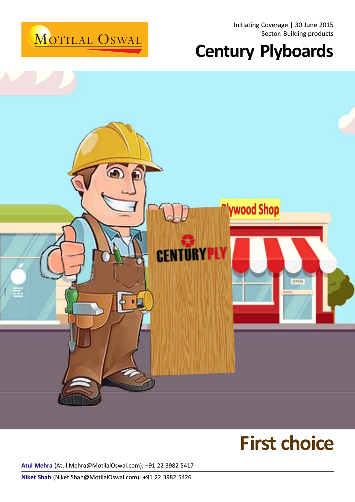

Initiating Coverage | 30 June 2015 Sector: Building products

# **Century Plyboards**



# **First choice**

**Atul Mehra** (Atul.Mehra@MotilalOswal.com); +91 22 3982 5417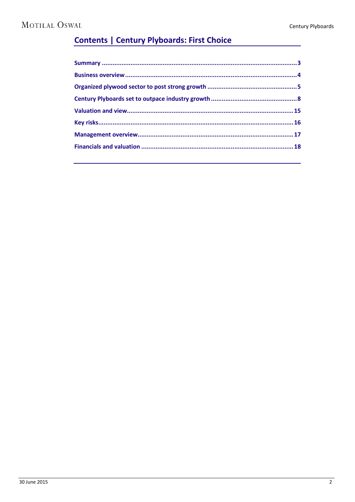### **Contents | Century Plyboards: First Choice**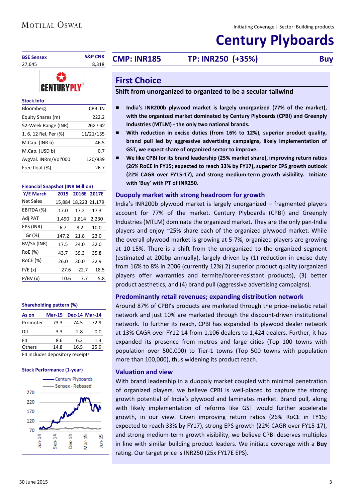## **Century Plyboards**

|                             | <b>S&amp;P CNX</b> |                     |                                                              |            |
|-----------------------------|--------------------|---------------------|--------------------------------------------------------------|------------|
| <b>BSE Sensex</b><br>27,645 | 8.318              | <b>CMP: INR185</b>  | TP: INR250 (+35%)                                            | <b>Buy</b> |
| <b>CENTURYP</b>             |                    | <b>First Choice</b> | Chift from unorganized to organized to be a secular tailwind |            |

#### **Stock Info**

| Bloomberg             | CPBI IN   |
|-----------------------|-----------|
| Equity Shares (m)     | 222.2     |
| 52-Week Range (INR)   | 262/62    |
| 1, 6, 12 Rel. Per (%) | 11/21/135 |
| M.Cap. (INR b)        | 46.5      |
| M.Cap. (USD b)        | 0.7       |
| AvgVal. INRm/Vol'000  | 120/839   |
| Free float (%)        | 26.7      |

#### **Financial Snapshot (INR Million)**

| Y/E March        | 2015  | 2016E 2017E          |       |
|------------------|-------|----------------------|-------|
| <b>Net Sales</b> |       | 15,884 18,223 21,179 |       |
| EBITDA (%)       | 17.0  | 17.2                 | 17.3  |
| Adj PAT          | 1,490 | 1,814                | 2,230 |
| EPS (INR)        | 6.7   | 8.2                  | 10.0  |
| Gr (%)           | 147.2 | 21.8                 | 23.0  |
| BV/Sh (INR)      | 17.5  | 24.0                 | 32.0  |
| RoE (%)          | 43.7  | 39.3                 | 35.8  |
| <b>RoCE (%)</b>  | 26.0  | 30.0                 | 32.9  |
| P/E(x)           | 27.6  | 22.7                 | 18.5  |
| P/BV(x)          | 10.6  | 7.7                  | 5.8   |
|                  |       |                      |       |

#### **Shareholding pattern (%)**

| As on    | <b>Mar-15</b> |      | <b>Dec-14 Mar-14</b> |
|----------|---------------|------|----------------------|
| Promoter | 73.3          | 74.5 | 72.9                 |
| DII      | 3.3           | 2.8  | 0.0                  |
| FII      | 8.6           | 6.2  | 1.3                  |
| Others   | 14.8          | 16.5 | 25.9                 |
|          |               | ۰    |                      |

FII Includes depository receipts

#### **Stock Performance (1-year)**



#### <span id="page-2-0"></span>**First Choice**

#### **Shift from unorganized to organized to be a secular tailwind**

- India's INR200b plywood market is largely unorganized (77% of the market), **with the organized market dominated by Century Plyboards (CPBI) and Greenply Industries (MTLM) - the only two national brands.**
- **With reduction in excise duties (from 16% to 12%), superior product quality, brand pull led by aggressive advertising campaigns, likely implementation of GST, we expect share of organized sector to improve.**
- **We like CPBI for its brand leadership (25% market share), improving return ratios (26% RoCE in FY15; expected to reach 33% by FY17), superior EPS growth outlook (22% CAGR over FY15-17), and strong medium-term growth visibility. Initiate with 'Buy' with PT of INR250.**

#### **Duopoly market with strong headroom for growth**

India's INR200b plywood market is largely unorganized – fragmented players account for 77% of the market. Century Plyboards (CPBI) and Greenply Industries (MTLM) dominate the organized market. They are the only pan-India players and enjoy ~25% share each of the organized plywood market. While the overall plywood market is growing at 5-7%, organized players are growing at 10-15%. There is a shift from the unorganized to the organized segment (estimated at 200bp annually), largely driven by (1) reduction in excise duty from 16% to 8% in 2006 (currently 12%) 2) superior product quality (organized players offer warranties and termite/borer-resistant products), (3) better product aesthetics, and (4) brand pull (aggressive advertising campaigns).

#### **Predominantly retail revenues; expanding distribution network**

Around 87% of CPBI's products are marketed through the price-inelastic retail network and just 10% are marketed through the discount-driven institutional network. To further its reach, CPBI has expanded its plywood dealer network at 13% CAGR over FY12-14 from 1,106 dealers to 1,424 dealers. Further, it has expanded its presence from metros and large cities (Top 100 towns with population over 500,000) to Tier-1 towns (Top 500 towns with population more than 100,000), thus widening its product reach.

#### **Valuation and view**

With brand leadership in a duopoly market coupled with minimal penetration of organized players, we believe CPBI is well-placed to capture the strong growth potential of India's plywood and laminates market. Brand pull, along with likely implementation of reforms like GST would further accelerate growth, in our view. Given improving return ratios (26% RoCE in FY15; expected to reach 33% by FY17), strong EPS growth (22% CAGR over FY15-17), and strong medium-term growth visibility, we believe CPBI deserves multiples in line with similar building product leaders. We initiate coverage with a **Buy** rating. Our target price is INR250 (25x FY17E EPS).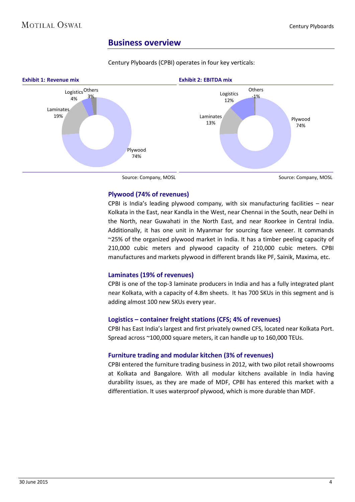#### <span id="page-3-0"></span>**Business overview**

Century Plyboards (CPBI) operates in four key verticals:



Source: Company, MOSL

Source: Company, MOSL

#### **Plywood (74% of revenues)**

CPBI is India's leading plywood company, with six manufacturing facilities – near Kolkata in the East, near Kandla in the West, near Chennai in the South, near Delhi in the North, near Guwahati in the North East, and near Roorkee in Central India. Additionally, it has one unit in Myanmar for sourcing face veneer. It commands ~25% of the organized plywood market in India. It has a timber peeling capacity of 210,000 cubic meters and plywood capacity of 210,000 cubic meters. CPBI manufactures and markets plywood in different brands like PF, Sainik, Maxima, etc.

#### **Laminates (19% of revenues)**

CPBI is one of the top-3 laminate producers in India and has a fully integrated plant near Kolkata, with a capacity of 4.8m sheets. It has 700 SKUs in this segment and is adding almost 100 new SKUs every year.

#### **Logistics – container freight stations (CFS; 4% of revenues)**

CPBI has East India's largest and first privately owned CFS, located near Kolkata Port. Spread across ~100,000 square meters, it can handle up to 160,000 TEUs.

#### **Furniture trading and modular kitchen (3% of revenues)**

CPBI entered the furniture trading business in 2012, with two pilot retail showrooms at Kolkata and Bangalore. With all modular kitchens available in India having durability issues, as they are made of MDF, CPBI has entered this market with a differentiation. It uses waterproof plywood, which is more durable than MDF.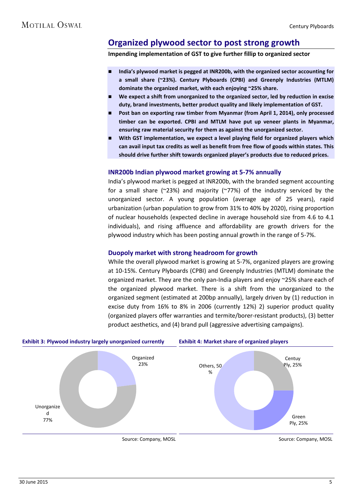### <span id="page-4-0"></span>**Organized plywood sector to post strong growth**

**Impending implementation of GST to give further fillip to organized sector**

- **India's plywood market is pegged at INR200b, with the organized sector accounting for a small share (~23%). Century Plyboards (CPBI) and Greenply Industries (MTLM) dominate the organized market, with each enjoying ~25% share.**
- **We expect a shift from unorganized to the organized sector, led by reduction in excise duty, brand investments, better product quality and likely implementation of GST.**
- **Post ban on exporting raw timber from Myanmar (from April 1, 2014), only processed timber can be exported. CPBI and MTLM have put up veneer plants in Myanmar, ensuring raw material security for them as against the unorganized sector.**
- **With GST implementation, we expect a level playing field for organized players which can avail input tax credits as well as benefit from free flow of goods within states. This should drive further shift towards organized player's products due to reduced prices.**

#### **INR200b Indian plywood market growing at 5-7% annually**

India's plywood market is pegged at INR200b, with the branded segment accounting for a small share ( $\approx$ 23%) and majority ( $\approx$ 77%) of the industry serviced by the unorganized sector. A young population (average age of 25 years), rapid urbanization (urban population to grow from 31% to 40% by 2020), rising proportion of nuclear households (expected decline in average household size from 4.6 to 4.1 individuals), and rising affluence and affordability are growth drivers for the plywood industry which has been posting annual growth in the range of 5-7%.

#### **Duopoly market with strong headroom for growth**

While the overall plywood market is growing at 5-7%, organized players are growing at 10-15%. Century Plyboards (CPBI) and Greenply Industries (MTLM) dominate the organized market. They are the only pan-India players and enjoy ~25% share each of the organized plywood market. There is a shift from the unorganized to the organized segment (estimated at 200bp annually), largely driven by (1) reduction in excise duty from 16% to 8% in 2006 (currently 12%) 2) superior product quality (organized players offer warranties and termite/borer-resistant products), (3) better product aesthetics, and (4) brand pull (aggressive advertising campaigns).



Source: Company, MOSL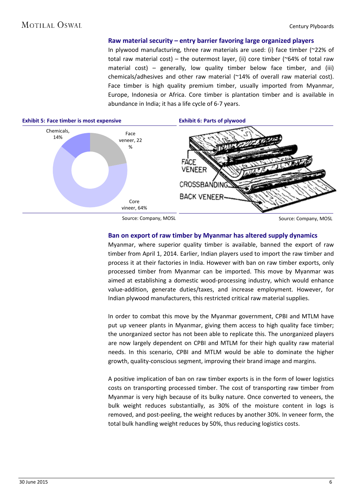#### **Raw material security – entry barrier favoring large organized players**

In plywood manufacturing, three raw materials are used: (i) face timber (~22% of total raw material cost) – the outermost layer, (ii) core timber ( $\sim$ 64% of total raw material cost) – generally, low quality timber below face timber, and (iii) chemicals/adhesives and other raw material (~14% of overall raw material cost). Face timber is high quality premium timber, usually imported from Myanmar, Europe, Indonesia or Africa. Core timber is plantation timber and is available in abundance in India; it has a life cycle of 6-7 years.



Source: Company, MOSL

Source: Company, MOSL

#### **Ban on export of raw timber by Myanmar has altered supply dynamics**

Myanmar, where superior quality timber is available, banned the export of raw timber from April 1, 2014. Earlier, Indian players used to import the raw timber and process it at their factories in India. However with ban on raw timber exports, only processed timber from Myanmar can be imported. This move by Myanmar was aimed at establishing a domestic wood-processing industry, which would enhance value-addition, generate duties/taxes, and increase employment. However, for Indian plywood manufacturers, this restricted critical raw material supplies.

In order to combat this move by the Myanmar government, CPBI and MTLM have put up veneer plants in Myanmar, giving them access to high quality face timber; the unorganized sector has not been able to replicate this. The unorganized players are now largely dependent on CPBI and MTLM for their high quality raw material needs. In this scenario, CPBI and MTLM would be able to dominate the higher growth, quality-conscious segment, improving their brand image and margins.

A positive implication of ban on raw timber exports is in the form of lower logistics costs on transporting processed timber. The cost of transporting raw timber from Myanmar is very high because of its bulky nature. Once converted to veneers, the bulk weight reduces substantially, as 30% of the moisture content in logs is removed, and post-peeling, the weight reduces by another 30%. In veneer form, the total bulk handling weight reduces by 50%, thus reducing logistics costs.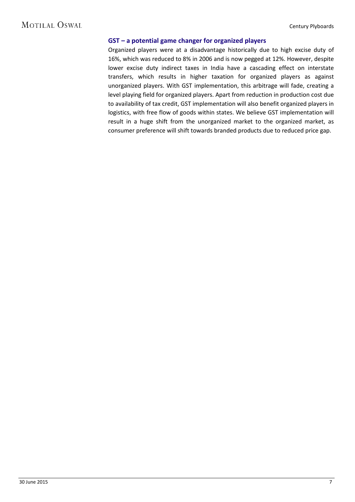#### **GST – a potential game changer for organized players**

Organized players were at a disadvantage historically due to high excise duty of 16%, which was reduced to 8% in 2006 and is now pegged at 12%. However, despite lower excise duty indirect taxes in India have a cascading effect on interstate transfers, which results in higher taxation for organized players as against unorganized players. With GST implementation, this arbitrage will fade, creating a level playing field for organized players. Apart from reduction in production cost due to availability of tax credit, GST implementation will also benefit organized players in logistics, with free flow of goods within states. We believe GST implementation will result in a huge shift from the unorganized market to the organized market, as consumer preference will shift towards branded products due to reduced price gap.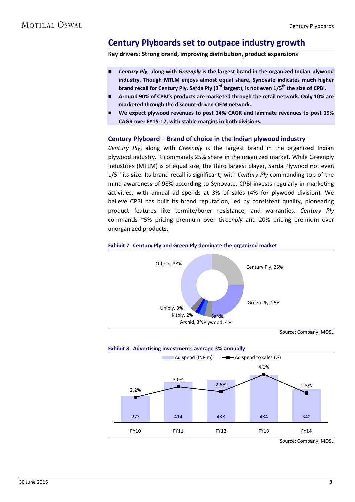### <span id="page-7-0"></span>**Century Plyboards set to outpace industry growth**

**Key drivers: Strong brand, improving distribution, product expansions**

- *Century Ply***, along with** *Greenply* **is the largest brand in the organized Indian plywood industry. Though MTLM enjoys almost equal share, Synovate indicates much higher brand recall for Century Ply. Sarda Ply (3rd largest), is not even 1/5th the size of CPBI.**
- **Around 90% of CPBI's products are marketed through the retail network. Only 10% are marketed through the discount-driven OEM network.**
- **We expect plywood revenues to post 14% CAGR and laminate revenues to post 19% CAGR over FY15-17, with stable margins in both divisions.**

#### **Century Plyboard – Brand of choice in the Indian plywood industry**

*Century Ply*, along with *Greenply* is the largest brand in the organized Indian plywood industry. It commands 25% share in the organized market. While Greenply Industries (MTLM) is of equal size, the third largest player, Sarda Plywood not even 1/5th its size. Its brand recall is significant, with *Century Ply* commanding top of the mind awareness of 98% according to Synovate. CPBI invests regularly in marketing activities, with annual ad spends at 3% of sales (4% for plywood division). We believe CPBI has built its brand reputation, led by consistent quality, pioneering product features like termite/borer resistance, and warranties. *Century Ply* commands ~5% pricing premium over *Greenply* and 20% pricing premium over unorganized products.

#### **Exhibit 7: Century Ply and Green Ply dominate the organized market**



Source: Company, MOSL



30 June 2015 8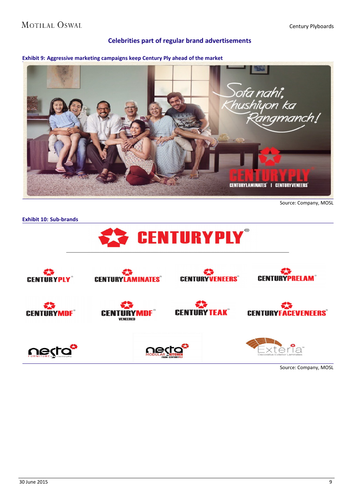#### Century Plyboards

#### **Celebrities part of regular brand advertisements**



Source: Company, MOSL



Source: Company, MOSL

**Exhibit 9: Aggressive marketing campaigns keep Century Ply ahead of the market**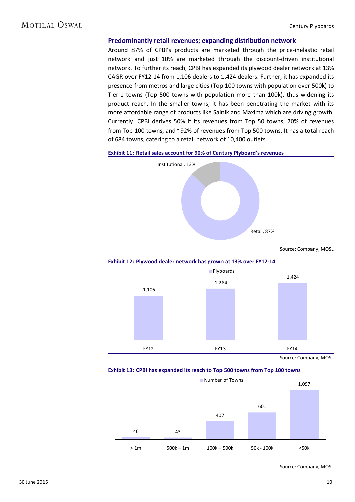#### **Predominantly retail revenues; expanding distribution network**

Around 87% of CPBI's products are marketed through the price-inelastic retail network and just 10% are marketed through the discount-driven institutional network. To further its reach, CPBI has expanded its plywood dealer network at 13% CAGR over FY12-14 from 1,106 dealers to 1,424 dealers. Further, it has expanded its presence from metros and large cities (Top 100 towns with population over 500k) to Tier-1 towns (Top 500 towns with population more than 100k), thus widening its product reach. In the smaller towns, it has been penetrating the market with its more affordable range of products like Sainik and Maxima which are driving growth. Currently, CPBI derives 50% if its revenues from Top 50 towns, 70% of revenues from Top 100 towns, and ~92% of revenues from Top 500 towns. It has a total reach of 684 towns, catering to a retail network of 10,400 outlets.



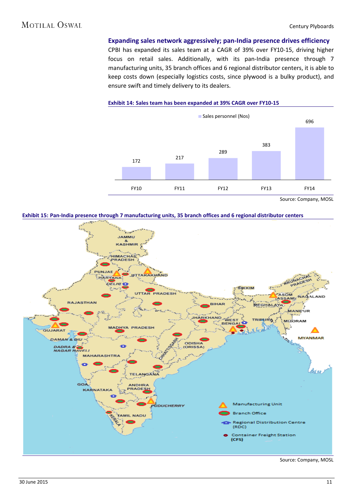**Expanding sales network aggressively; pan-India presence drives efficiency** CPBI has expanded its sales team at a CAGR of 39% over FY10-15, driving higher

focus on retail sales. Additionally, with its pan-India presence through 7 manufacturing units, 35 branch offices and 6 regional distributor centers, it is able to keep costs down (especially logistics costs, since plywood is a bulky product), and ensure swift and timely delivery to its dealers.

**Exhibit 14: Sales team has been expanded at 39% CAGR over FY10-15**



Source: Company, MOSL



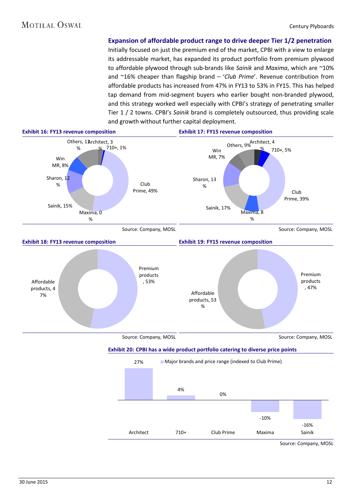**Expansion of affordable product range to drive deeper Tier 1/2 penetration**

Initially focused on just the premium end of the market, CPBI with a view to enlarge its addressable market, has expanded its product portfolio from premium plywood to affordable plywood through sub-brands like *Sainik* and *Maxima*, which are ~10% and ~16% cheaper than flagship brand – '*Club Prime*'. Revenue contribution from affordable products has increased from 47% in FY13 to 53% in FY15. This has helped tap demand from mid-segment buyers who earlier bought non-branded plywood, and this strategy worked well especially with CPBI's strategy of penetrating smaller Tier 1 / 2 towns. CPBI's *Sainik* brand is completely outsourced, thus providing scale and growth without further capital deployment.

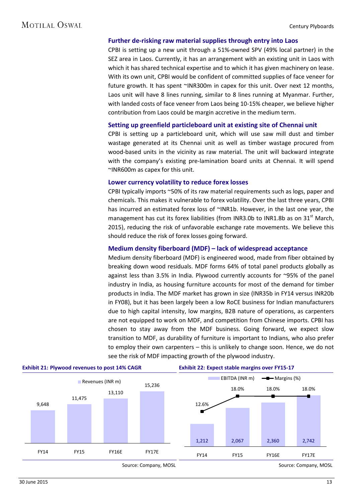#### **MOTILAL OSWAL**

#### **Further de-risking raw material supplies through entry into Laos**

CPBI is setting up a new unit through a 51%-owned SPV (49% local partner) in the SEZ area in Laos. Currently, it has an arrangement with an existing unit in Laos with which it has shared technical expertise and to which it has given machinery on lease. With its own unit, CPBI would be confident of committed supplies of face veneer for future growth. It has spent ~INR300m in capex for this unit. Over next 12 months, Laos unit will have 8 lines running, similar to 8 lines running at Myanmar. Further, with landed costs of face veneer from Laos being 10-15% cheaper, we believe higher contribution from Laos could be margin accretive in the medium term.

#### **Setting up greenfield particleboard unit at existing site of Chennai unit**

CPBI is setting up a particleboard unit, which will use saw mill dust and timber wastage generated at its Chennai unit as well as timber wastage procured from wood-based units in the vicinity as raw material. The unit will backward integrate with the company's existing pre-lamination board units at Chennai. It will spend ~INR600m as capex for this unit.

#### **Lower currency volatility to reduce forex losses**

CPBI typically imports ~50% of its raw material requirements such as logs, paper and chemicals. This makes it vulnerable to forex volatility. Over the last three years, CPBI has incurred an estimated forex loss of ~INR1b. However, in the last one year, the management has cut its forex liabilities (from INR3.0b to INR1.8b as on  $31<sup>st</sup>$  March, 2015), reducing the risk of unfavorable exchange rate movements. We believe this should reduce the risk of forex losses going forward.

#### **Medium density fiberboard (MDF) – lack of widespread acceptance**

Medium density fiberboard (MDF) is engineered wood, made from fiber obtained by breaking down wood residuals. MDF forms 64% of total panel products globally as against less than 3.5% in India. Plywood currently accounts for ~95% of the panel industry in India, as housing furniture accounts for most of the demand for timber products in India. The MDF market has grown in size (INR35b in FY14 versus INR20b in FY08), but it has been largely been a low RoCE business for Indian manufacturers due to high capital intensity, low margins, B2B nature of operations, as carpenters are not equipped to work on MDF, and competition from Chinese imports. CPBI has chosen to stay away from the MDF business. Going forward, we expect slow transition to MDF, as durability of furniture is important to Indians, who also prefer to employ their own carpenters – this is unlikely to change soon. Hence, we do not see the risk of MDF impacting growth of the plywood industry.

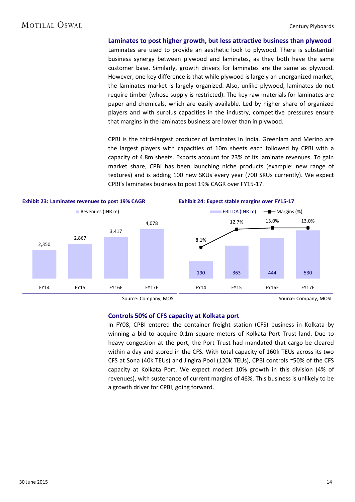#### **MOTILAL OSWAL**

**Laminates to post higher growth, but less attractive business than plywood**

Laminates are used to provide an aesthetic look to plywood. There is substantial business synergy between plywood and laminates, as they both have the same customer base. Similarly, growth drivers for laminates are the same as plywood. However, one key difference is that while plywood is largely an unorganized market, the laminates market is largely organized. Also, unlike plywood, laminates do not require timber (whose supply is restricted). The key raw materials for laminates are paper and chemicals, which are easily available. Led by higher share of organized players and with surplus capacities in the industry, competitive pressures ensure that margins in the laminates business are lower than in plywood.

CPBI is the third-largest producer of laminates in India. Greenlam and Merino are the largest players with capacities of 10m sheets each followed by CPBI with a capacity of 4.8m sheets. Exports account for 23% of its laminate revenues. To gain market share, CPBI has been launching niche products (example: new range of textures) and is adding 100 new SKUs every year (700 SKUs currently). We expect CPBI's laminates business to post 19% CAGR over FY15-17.



Source: Company, MOSL

Source: Company, MOSL

#### **Controls 50% of CFS capacity at Kolkata port**

In FY08, CPBI entered the container freight station (CFS) business in Kolkata by winning a bid to acquire 0.1m square meters of Kolkata Port Trust land. Due to heavy congestion at the port, the Port Trust had mandated that cargo be cleared within a day and stored in the CFS. With total capacity of 160k TEUs across its two CFS at Sona (40k TEUs) and Jingira Pool (120k TEUs), CPBI controls ~50% of the CFS capacity at Kolkata Port. We expect modest 10% growth in this division (4% of revenues), with sustenance of current margins of 46%. This business is unlikely to be a growth driver for CPBI, going forward.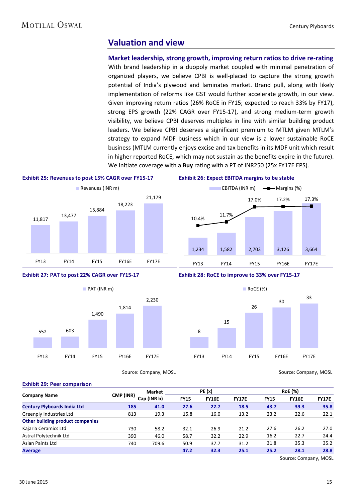#### <span id="page-14-0"></span>**Valuation and view**

**Market leadership, strong growth, improving return ratios to drive re-rating** With brand leadership in a duopoly market coupled with minimal penetration of organized players, we believe CPBI is well-placed to capture the strong growth potential of India's plywood and laminates market. Brand pull, along with likely implementation of reforms like GST would further accelerate growth, in our view. Given improving return ratios (26% RoCE in FY15; expected to reach 33% by FY17), strong EPS growth (22% CAGR over FY15-17), and strong medium-term growth visibility, we believe CPBI deserves multiples in line with similar building product leaders. We believe CPBI deserves a significant premium to MTLM given MTLM's strategy to expand MDF business which in our view is a lower sustainable RoCE business (MTLM currently enjoys excise and tax benefits in its MDF unit which result in higher reported RoCE, which may not sustain as the benefits expire in the future). We initiate coverage with a **Buy** rating with a PT of INR250 (25x FY17E EPS).





Source: Company, MOSL

FY13 FY14 FY15 FY16E FY17E

#### **Exhibit 29: Peer comparison**

FY13 FY14 FY15 FY16E FY17E

|                                         |           | Market      | <b>PE</b> (x)               |      |              | <b>RoE</b> (%) |              |              |
|-----------------------------------------|-----------|-------------|-----------------------------|------|--------------|----------------|--------------|--------------|
| <b>Company Name</b>                     | CMP (INR) | Cap (INR b) | <b>FY15</b><br><b>FY16E</b> |      | <b>FY17E</b> | <b>FY15</b>    | <b>FY16E</b> | <b>FY17E</b> |
| <b>Century Plyboards India Ltd</b>      | 185       | 41.0        | 27.6                        | 22.7 | 18.5         | 43.7           | 39.3         | 35.8         |
| Greenply Industries Ltd                 | 813       | 19.3        | 15.8                        | 16.0 | 13.2         | 23.2           | 22.6         | 22.1         |
| <b>Other building product companies</b> |           |             |                             |      |              |                |              |              |
| Kajaria Ceramics Ltd                    | 730       | 58.2        | 32.1                        | 26.9 | 21.2         | 27.6           | 26.2         | 27.0         |
| Astral Polytechnik Ltd                  | 390       | 46.0        | 58.7                        | 32.2 | 22.9         | 16.2           | 22.7         | 24.4         |
| <b>Asian Paints Ltd</b>                 | 740       | 709.6       | 50.9                        | 37.7 | 31.2         | 31.8           | 35.3         | 35.2         |
| <b>Average</b>                          |           |             | 47.2                        | 32.3 | 25.1         | 25.2           | 28.1         | 28.8         |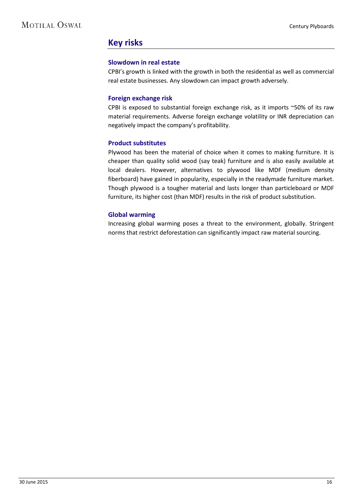#### <span id="page-15-0"></span>**Key risks**

#### **Slowdown in real estate**

CPBI's growth is linked with the growth in both the residential as well as commercial real estate businesses. Any slowdown can impact growth adversely.

#### **Foreign exchange risk**

CPBI is exposed to substantial foreign exchange risk, as it imports ~50% of its raw material requirements. Adverse foreign exchange volatility or INR depreciation can negatively impact the company's profitability.

#### **Product substitutes**

Plywood has been the material of choice when it comes to making furniture. It is cheaper than quality solid wood (say teak) furniture and is also easily available at local dealers. However, alternatives to plywood like MDF (medium density fiberboard) have gained in popularity, especially in the readymade furniture market. Though plywood is a tougher material and lasts longer than particleboard or MDF furniture, its higher cost (than MDF) results in the risk of product substitution.

#### **Global warming**

Increasing global warming poses a threat to the environment, globally. Stringent norms that restrict deforestation can significantly impact raw material sourcing.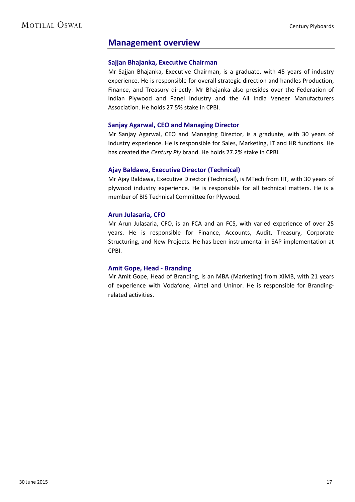#### <span id="page-16-0"></span>**Management overview**

#### **Sajjan Bhajanka, Executive Chairman**

Mr Sajjan Bhajanka, Executive Chairman, is a graduate, with 45 years of industry experience. He is responsible for overall strategic direction and handles Production, Finance, and Treasury directly. Mr Bhajanka also presides over the Federation of Indian Plywood and Panel Industry and the All India Veneer Manufacturers Association. He holds 27.5% stake in CPBI.

#### **Sanjay Agarwal, CEO and Managing Director**

Mr Sanjay Agarwal, CEO and Managing Director, is a graduate, with 30 years of industry experience. He is responsible for Sales, Marketing, IT and HR functions. He has created the *Century Ply* brand. He holds 27.2% stake in CPBI.

#### **Ajay Baldawa, Executive Director (Technical)**

Mr Ajay Baldawa, Executive Director (Technical), is MTech from IIT, with 30 years of plywood industry experience. He is responsible for all technical matters. He is a member of BIS Technical Committee for Plywood.

#### **Arun Julasaria, CFO**

Mr Arun Julasaria, CFO, is an FCA and an FCS, with varied experience of over 25 years. He is responsible for Finance, Accounts, Audit, Treasury, Corporate Structuring, and New Projects. He has been instrumental in SAP implementation at CPBI.

#### **Amit Gope, Head - Branding**

Mr Amit Gope, Head of Branding, is an MBA (Marketing) from XIMB, with 21 years of experience with Vodafone, Airtel and Uninor. He is responsible for Brandingrelated activities.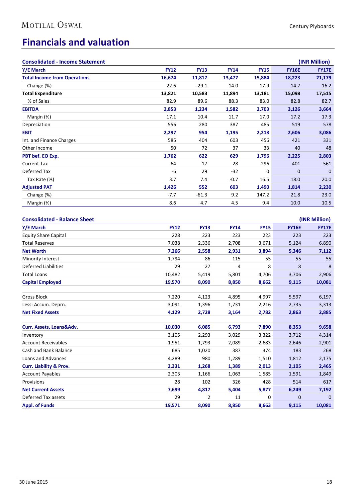### <span id="page-17-0"></span>**Financials and valuation**

| <b>Consolidated - Income Statement</b>           |             |             |             |             |              | (INR Million)                 |
|--------------------------------------------------|-------------|-------------|-------------|-------------|--------------|-------------------------------|
| Y/E March                                        | <b>FY12</b> | <b>FY13</b> | <b>FY14</b> | <b>FY15</b> | <b>FY16E</b> | <b>FY17E</b>                  |
| <b>Total Income from Operations</b>              | 16,674      | 11,817      | 13,477      | 15,884      | 18,223       | 21,179                        |
| Change (%)                                       | 22.6        | $-29.1$     | 14.0        | 17.9        | 14.7         | 16.2                          |
| <b>Total Expenditure</b>                         | 13,821      | 10,583      | 11,894      | 13,181      | 15,098       | 17,515                        |
| % of Sales                                       | 82.9        | 89.6        | 88.3        | 83.0        | 82.8         | 82.7                          |
| <b>EBITDA</b>                                    | 2,853       | 1,234       | 1,582       | 2,703       | 3,126        | 3,664                         |
| Margin (%)                                       | 17.1        | 10.4        | 11.7        | 17.0        | 17.2         | 17.3                          |
| Depreciation                                     | 556         | 280         | 387         | 485         | 519          | 578                           |
| <b>EBIT</b>                                      | 2,297       | 954         | 1,195       | 2,218       | 2,606        | 3,086                         |
| Int. and Finance Charges                         | 585         | 404         | 603         | 456         | 421          | 331                           |
| Other Income                                     | 50          | 72          | 37          | 33          | 40           | 48                            |
| PBT bef. EO Exp.                                 | 1,762       | 622         | 629         | 1,796       | 2,225        | 2,803                         |
| Current Tax                                      | 64          | 17          | 28          | 296         | 401          | 561                           |
| Deferred Tax                                     | -6          | 29          | $-32$       | 0           | $\mathbf{0}$ | $\mathbf 0$                   |
| Tax Rate (%)                                     | 3.7         | 7.4         | $-0.7$      | 16.5        | 18.0         | 20.0                          |
| <b>Adjusted PAT</b>                              | 1,426       | 552         | 603         | 1,490       | 1,814        | 2,230                         |
| Change (%)                                       | $-7.7$      | $-61.3$     | 9.2         | 147.2       | 21.8         | 23.0                          |
| Margin (%)                                       | 8.6         | 4.7         | 4.5         | 9.4         | 10.0         | 10.5                          |
| <b>Consolidated - Balance Sheet</b><br>Y/E March | <b>FY12</b> | <b>FY13</b> | <b>FY14</b> | <b>FY15</b> | <b>FY16E</b> | (INR Million)<br><b>FY17E</b> |
| <b>Equity Share Capital</b>                      | 228         | 223         | 223         | 223         | 223          | 223                           |
| <b>Total Reserves</b>                            | 7,038       | 2,336       | 2,708       | 3,671       | 5,124        | 6,890                         |
| <b>Net Worth</b>                                 | 7,266       | 2,558       | 2,931       | 3,894       | 5,346        | 7,112                         |
| Minority Interest                                | 1,794       | 86          | 115         | 55          | 55           | 55                            |
| <b>Deferred Liabilities</b>                      | 29          | 27          | 4           | 8           | 8            | 8                             |
| <b>Total Loans</b>                               | 10,482      | 5,419       | 5,801       | 4,706       | 3,706        | 2,906                         |
| <b>Capital Employed</b>                          | 19,570      | 8,090       | 8,850       | 8,662       | 9,115        | 10,081                        |
|                                                  |             |             |             |             |              |                               |
| <b>Gross Block</b>                               | 7,220       | 4,123       | 4,895       | 4,997       | 5,597        | 6,197                         |
| Less: Accum. Deprn.                              | 3,091       | 1,396       | 1,731       | 2,216       | 2,735        | 3,313                         |
| <b>Net Fixed Assets</b>                          | 4,129       | 2,728       | 3,164       | 2,782       | 2,863        | 2,885                         |
|                                                  |             |             |             |             |              |                               |
| Curr. Assets, Loans&Adv.                         | 10,030      | 6,085       | 6,793       | 7,890       | 8,353        | 9,658                         |
| Inventory                                        | 3,105       | 2,293       | 3,029       | 3,322       | 3,712        | 4,314                         |
| <b>Account Receivables</b>                       | 1,951       | 1,793       | 2,089       | 2,683       | 2,646        | 2,901                         |
| Cash and Bank Balance                            | 685         | 1,020       | 387         | 374         | 183          | 268                           |
| Loans and Advances                               | 4,289       | 980         | 1,289       | 1,510       | 1,812        | 2,175                         |
| <b>Curr. Liability &amp; Prov.</b>               | 2,331       | 1,268       | 1,389       | 2,013       | 2,105        | 2,465                         |
| <b>Account Payables</b>                          | 2,303       | 1,166       | 1,063       | 1,585       | 1,591        | 1,849                         |
| Provisions                                       | 28          | 102         | 326         | 428         | 514          | 617                           |
| <b>Net Current Assets</b>                        | 7,699       | 4,817       | 5,404       | 5,877       | 6,249        | 7,192                         |

Deferred Tax assets and the contract of the contract of the 29 and 20 contract of the 20 contract of the 20 contract of the 20 contract of the 20 contract of the 20 contract of the 20 contract of the 20 contract of the 20 **Appl. of Funds 19,571 8,090 8,850 8,663 9,115 10,081**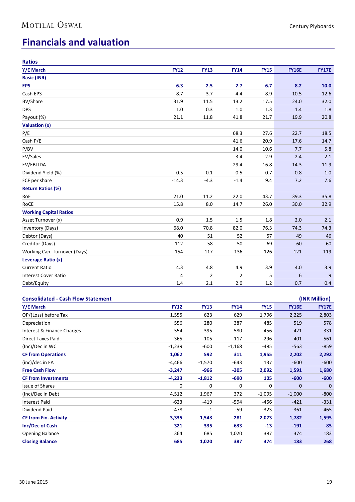### **Financials and valuation**

| <b>Ratios</b>                             |             |                |                |             |              |               |
|-------------------------------------------|-------------|----------------|----------------|-------------|--------------|---------------|
| Y/E March                                 | <b>FY12</b> | <b>FY13</b>    | <b>FY14</b>    | <b>FY15</b> | <b>FY16E</b> | <b>FY17E</b>  |
| <b>Basic (INR)</b>                        |             |                |                |             |              |               |
| <b>EPS</b>                                | 6.3         | 2.5            | 2.7            | 6.7         | 8.2          | 10.0          |
| Cash EPS                                  | 8.7         | 3.7            | 4.4            | 8.9         | 10.5         | 12.6          |
| <b>BV/Share</b>                           | 31.9        | 11.5           | 13.2           | 17.5        | 24.0         | 32.0          |
| <b>DPS</b>                                | 1.0         | 0.3            | 1.0            | 1.3         | 1.4          | 1.8           |
| Payout (%)                                | 21.1        | 11.8           | 41.8           | 21.7        | 19.9         | 20.8          |
| Valuation (x)                             |             |                |                |             |              |               |
| P/E                                       |             |                | 68.3           | 27.6        | 22.7         | 18.5          |
| Cash P/E                                  |             |                | 41.6           | 20.9        | 17.6         | 14.7          |
| P/BV                                      |             |                | 14.0           | 10.6        | 7.7          | 5.8           |
| EV/Sales                                  |             |                | 3.4            | 2.9         | 2.4          | 2.1           |
| EV/EBITDA                                 |             |                | 29.4           | 16.8        | 14.3         | 11.9          |
| Dividend Yield (%)                        | 0.5         | 0.1            | 0.5            | 0.7         | 0.8          | 1.0           |
| FCF per share                             | $-14.3$     | $-4.3$         | $-1.4$         | 9.4         | 7.2          | 7.6           |
| <b>Return Ratios (%)</b>                  |             |                |                |             |              |               |
| RoE                                       | 21.0        | 11.2           | 22.0           | 43.7        | 39.3         | 35.8          |
| RoCE                                      | 15.8        | 8.0            | 14.7           | 26.0        | 30.0         | 32.9          |
| <b>Working Capital Ratios</b>             |             |                |                |             |              |               |
| Asset Turnover (x)                        | 0.9         | 1.5            | 1.5            | 1.8         | 2.0          | 2.1           |
| <b>Inventory (Days)</b>                   | 68.0        | 70.8           | 82.0           | 76.3        | 74.3         | 74.3          |
| Debtor (Days)                             | 40          | 51             | 52             | 57          | 49           | 46            |
| Creditor (Days)                           | 112         | 58             | 50             | 69          | 60           | 60            |
| Working Cap. Turnover (Days)              | 154         | 117            | 136            | 126         | 121          | 119           |
| Leverage Ratio (x)                        |             |                |                |             |              |               |
| <b>Current Ratio</b>                      | 4.3         | 4.8            | 4.9            | 3.9         | 4.0          | 3.9           |
| <b>Interest Cover Ratio</b>               | 4           | $\overline{2}$ | $\overline{2}$ | 5           | 6            | 9             |
| Debt/Equity                               | 1.4         | 2.1            | 2.0            | 1.2         | 0.7          | 0.4           |
|                                           |             |                |                |             |              |               |
| <b>Consolidated - Cash Flow Statement</b> |             |                |                |             |              | (INR Million) |
| Y/E March                                 | <b>FY12</b> | <b>FY13</b>    | <b>FY14</b>    | <b>FY15</b> | <b>FY16E</b> | <b>FY17E</b>  |
| OP/(Loss) before Tax                      | 1,555       | 623            | 629            | 1,796       | 2,225        | 2,803         |
| Depreciation                              | 556         | 280            | 387            | 485         | 519          | 578           |
| Interest & Finance Charges                | 554         | 395            | 580            | 456         | 421          | 331           |
| Direct Taxes Paid                         | $-365$      | $-105$         | $-117$         | $-296$      | $-401$       | $-561$        |
| (Inc)/Dec in WC                           | $-1,239$    | $-600$         | $-1,168$       | $-485$      | $-563$       | $-859$        |
| <b>CF from Operations</b>                 | 1,062       | 592            | 311            | 1,955       | 2,202        | 2,292         |
| (inc)/dec in FA                           | $-4,466$    | $-1,570$       | $-643$         | 137         | $-600$       | $-600$        |

**Free Cash Flow -3,247 -966 -305 2,092 1,591 1,680 CF from Investments -4,233 -1,812 -690 105 -600 -600** Issue of Shares **1888 1888 1888 1888 1888 1888 1888 1888 1888 1888 1888 1888 1888 1888 1888 1888 1888 1888 1888 1888 1888 1888 1888 1888 1888 1888 1888 1888 1888 18** (Inc)/Dec in Debt 4,512 1,967 372 -1,095 -1,000 -800 Interest Paid -623 -419 -594 -456 -421 -331 Dividend Paid -478 -1 -59 -323 -361 -465 **CF from Fin. Activity 3,335 1,543 -281 -2,073 -1,782 -1,595 Inc/Dec of Cash 321 335 -633 -13 -191 85** Opening Balance 2012 2020 364 585 1,020 387 374 183 **Closing Balance 685 1,020 387 374 183 268**